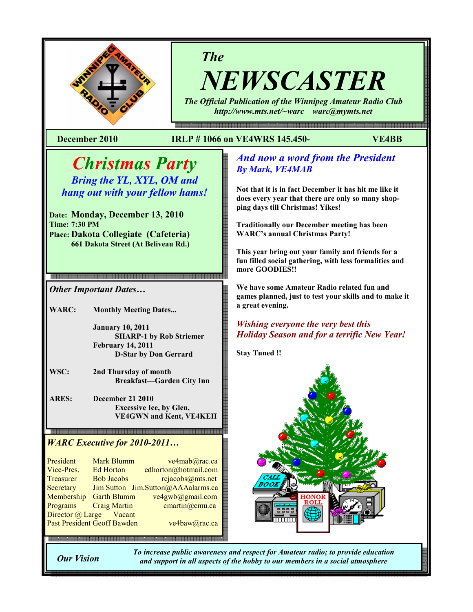

# The

NEWSCASTER

The Official Publication of the Winnipeg Amateur Radio Club http://www.mts.net/~warc warc@mymts.net

e en de maar de maan de maan de maan de maan de maan de maan de maan de de de maan de en de de maan de maan de

## December 2010 IRLP # 1066 on VE4WRS 145.450- VE4BB

## Christmas Party Bring the YL, XYL, OM and

hang out with your fellow hams!

.<br>Ngangang ng kalang ng ngangang ng ng ng ng ngangang ng ng ng ng ng ng ng ng ng n

Date: Monday, December 13, 2010 Time: 7:30 PM Place: Dakota Collegiate (Cafeteria) 661 Dakota Street (At Beliveau Rd.)

Other Important Dates…

WARC: Monthly Meeting Dates...

 January 10, 2011 SHARP-1 by Rob Striemer February 14, 2011 D-Star by Don Gerrard

WSC: 2nd Thursday of month Breakfast—Garden City Inn

ARES: December 21 2010 Excessive Ice, by Glen, VE4GWN and Kent, VE4KEH

## WARC Executive for 2010-2011…

President Mark Blumm ve4mab@rac.ca<br>Vice-Pres Ed Horton edhorton@hotmail.com Ed Horton edhorton  $\omega$ hotmail.com Treasurer Bob Jacobs rejacobs@mts.net Secretary Jim Sutton Jim.Sutton@AAAalarms.ca<br>Membership Garth Blumm ve4gwb@gmail.com Membership Garth Blumm Programs Craig Martin cmartin@cmu.ca Director @ Large Vacant Past President Geoff Bawden ve4baw@rac.ca

.<br>이 100 전 200 전 200 전 200 전 200 전 200 전 200 전 200 전 200 전 200 전 200 전 200 전 200 전 200 전 200 전 200 전 200 전 200 전 200 전 200 전 200 전 200 전 200 전 200 전 200 전 200 전 200 전 200 전 200 전 200 전 200<br>200 전 200 전 200 전 200 전 200 전 200

## And now a word from the President By Mark, VE4MAB

Not that it is in fact December it has hit me like it does every year that there are only so many shopping days till Christmas! Yikes!

Traditionally our December meeting has been WARC's annual Christmas Party!

This year bring out your family and friends for a fun filled social gathering, with less formalities and more GOODIES!!

We have some Amateur Radio related fun and games planned, just to test your skills and to make it a great evening.

## Wishing everyone the very best this Holiday Season and for a terrific New Year!

Stay Tuned !!



Our Vision

To increase public awareness and respect for Amateur radio; to provide education and support in all aspects of the hobby to our members in a social atmosphere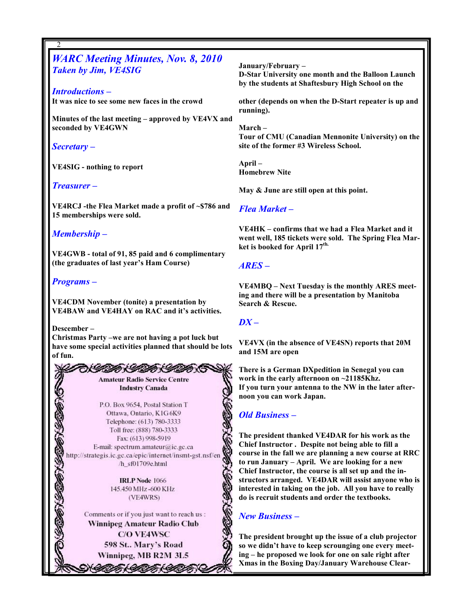WARC Meeting Minutes, Nov. 8, 2010 Taken by Jim, VE4SIG

Introductions – It was nice to see some new faces in the crowd

Minutes of the last meeting – approved by VE4VX and seconded by VE4GWN

Secretary –

2

VE4SIG - nothing to report

#### Treasurer –

VE4RCJ -the Flea Market made a profit of ~\$786 and 15 memberships were sold.

## Membership –

VE4GWB - total of 91, 85 paid and 6 complimentary (the graduates of last year's Ham Course)

#### Programs –

VE4CDM November (tonite) a presentation by VE4BAW and VE4HAY on RAC and it's activities.

Descember –

2

Christmas Party –we are not having a pot luck but have some special activities planned that should be lots of fun.

> めしのかいねんぜんめ **Amateur Radio Service Centre Industry Canada**

P.O. Box 9654, Postal Station T Ottawa, Ontario, K1G6K9 Telephone: (613) 780-3333 Toll free: (888) 780-3333 Fax: (613) 998-5919 E-mail: spectrum.amateur@ic.gc.ca http://strategis.ic.gc.ca/epic/internet/insmt-gst.nsf/en /h\_sf01709e.html

> **IRLP Node 1066** 145.450 MHz-600 KHz (VE4WRS)

Comments or if you just want to reach us : Winnipeg Amateur Radio Club **C/O VE4WSC** 598 St.. Mary's Road Winnipeg, MB R2M 3L5

N*YIK (YIK (Y*I

January/February – D-Star University one month and the Balloon Launch by the students at Shaftesbury High School on the

other (depends on when the D-Start repeater is up and running).

March – Tour of CMU (Canadian Mennonite University) on the site of the former #3 Wireless School.

April – Homebrew Nite

May & June are still open at this point.

#### Flea Market –

VE4HK – confirms that we had a Flea Market and it went well, 185 tickets were sold. The Spring Flea Market is booked for April 17<sup>th.</sup>

## ARES –

VE4MBQ – Next Tuesday is the monthly ARES meeting and there will be a presentation by Manitoba Search & Rescue.

#### $DX -$

VE4VX (in the absence of VE4SN) reports that 20M and 15M are open

There is a German DXpedition in Senegal you can work in the early afternoon on ~21185Khz. If you turn your antenna to the NW in the later afternoon you can work Japan.

## Old Business –

The president thanked VE4DAR for his work as the Chief Instructor . Despite not being able to fill a course in the fall we are planning a new course at RRC to run January – April. We are looking for a new Chief Instructor, the course is all set up and the instructors arranged. VE4DAR will assist anyone who is interested in taking on the job. All you have to really do is recruit students and order the textbooks.

## New Business –

The president brought up the issue of a club projector so we didn't have to keep scrounging one every meeting – he proposed we look for one on sale right after Xmas in the Boxing Day/January Warehouse Clear-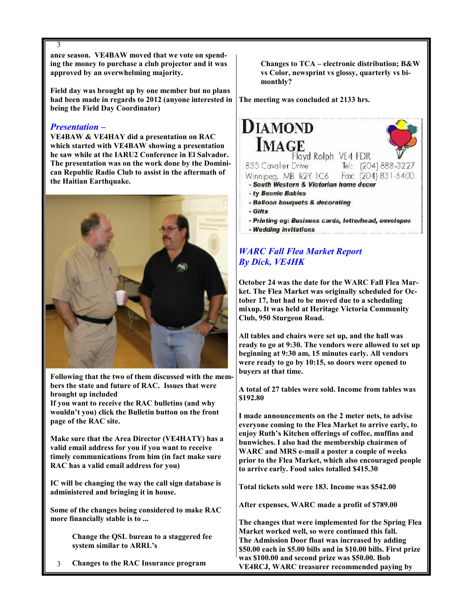ance season. VE4BAW moved that we vote on spending the money to purchase a club projector and it was approved by an overwhelming majority.

Field day was brought up by one member but no plans had been made in regards to 2012 (anyone interested in being the Field Day Coordinator)

## Presentation –

VE4BAW & VE4HAY did a presentation on RAC which started with VE4BAW showing a presentation he saw while at the IARU2 Conference in El Salvador. The presentation was on the work done by the Dominican Republic Radio Club to assist in the aftermath of the Haitian Earthquake.



Following that the two of them discussed with the members the state and future of RAC. Issues that were brought up included

If you want to receive the RAC bulletins (and why wouldn't you) click the Bulletin button on the front page of the RAC site.

Make sure that the Area Director (VE4HATY) has a valid email address for you if you want to receive timely communications from him (in fact make sure RAC has a valid email address for you)

IC will be changing the way the call sign database is administered and bringing it in house.

Some of the changes being considered to make RAC more financially stable is to ...

> Change the QSL bureau to a staggered fee system similar to ARRL's

3 Changes to the RAC Insurance program  Changes to TCA – electronic distribution; B&W vs Color, newsprint vs glossy, quarterly vs bi monthly?

The meeting was concluded at 2133 hrs.



- 
- Wedding invitations

## WARC Fall Flea Market Report By Dick, VE4HK

October 24 was the date for the WARC Fall Flea Market. The Flea Market was originally scheduled for October 17, but had to be moved due to a scheduling mixup. It was held at Heritage Victoria Community Club, 950 Sturgeon Road.

All tables and chairs were set up, and the hall was ready to go at 9:30. The vendors were allowed to set up beginning at 9:30 am, 15 minutes early. All vendors were ready to go by 10:15, so doors were opened to buyers at that time.

A total of 27 tables were sold. Income from tables was \$192.80

I made announcements on the 2 meter nets, to advise everyone coming to the Flea Market to arrive early, to enjoy Ruth's Kitchen offerings of coffee, muffins and bunwiches. I also had the membership chairmen of WARC and MRS e-mail a poster a couple of weeks prior to the Flea Market, which also encouraged people to arrive early. Food sales totalled \$415.30

Total tickets sold were 183. Income was \$542.00

After expenses, WARC made a profit of \$789.00

The changes that were implemented for the Spring Flea Market worked well, so were continued this fall. The Admission Door float was increased by adding \$50.00 each in \$5.00 bills and in \$10.00 bills. First prize was \$100.00 and second prize was \$50.00. Bob VE4RCJ, WARC treasurer recommended paying by

3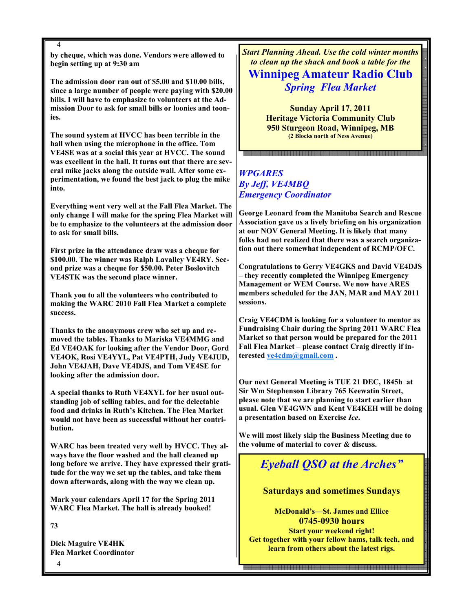4 by cheque, which was done. Vendors were allowed to begin setting up at 9:30 am

The admission door ran out of \$5.00 and \$10.00 bills, since a large number of people were paying with \$20.00 bills. I will have to emphasize to volunteers at the Admission Door to ask for small bills or loonies and toonies.

The sound system at HVCC has been terrible in the hall when using the microphone in the office. Tom VE4SE was at a social this year at HVCC. The sound was excellent in the hall. It turns out that there are several mike jacks along the outside wall. After some experimentation, we found the best jack to plug the mike into.

Everything went very well at the Fall Flea Market. The only change I will make for the spring Flea Market will be to emphasize to the volunteers at the admission door to ask for small bills.

First prize in the attendance draw was a cheque for \$100.00. The winner was Ralph Lavalley VE4RY. Second prize was a cheque for \$50.00. Peter Boslovitch VE4STK was the second place winner.

Thank you to all the volunteers who contributed to making the WARC 2010 Fall Flea Market a complete success.

Thanks to the anonymous crew who set up and removed the tables. Thanks to Mariska VE4MMG and Ed VE4OAK for looking after the Vendor Door, Gord VE4OK, Rosi VE4YYL, Pat VE4PTH, Judy VE4JUD, John VE4JAH, Dave VE4DJS, and Tom VE4SE for looking after the admission door.

A special thanks to Ruth VE4XYL for her usual outstanding job of selling tables, and for the delectable food and drinks in Ruth's Kitchen. The Flea Market would not have been as successful without her contribution.

WARC has been treated very well by HVCC. They always have the floor washed and the hall cleaned up long before we arrive. They have expressed their gratitude for the way we set up the tables, and take them down afterwards, along with the way we clean up.

Mark your calendars April 17 for the Spring 2011 WARC Flea Market. The hall is already booked!

73

Dick Maguire VE4HK Flea Market Coordinator Start Planning Ahead. Use the cold winter months to clean up the shack and book a table for the

## Winnipeg Amateur Radio Club Spring Flea Market

Sunday April 17, 2011 Heritage Victoria Community Club 950 Sturgeon Road, Winnipeg, MB (2 Blocks north of Ness Avenue)

## WPGARES By Jeff, VE4MBQ Emergency Coordinator

George Leonard from the Manitoba Search and Rescue Association gave us a lively briefing on his organization at our NOV General Meeting. It is likely that many folks had not realized that there was a search organization out there somewhat independent of RCMP/OFC.

Congratulations to Gerry VE4GKS and David VE4DJS – they recently completed the Winnipeg Emergency Management or WEM Course. We now have ARES members scheduled for the JAN, MAR and MAY 2011 sessions.

Craig VE4CDM is looking for a volunteer to mentor as Fundraising Chair during the Spring 2011 WARC Flea Market so that person would be prepared for the 2011 Fall Flea Market – please contact Craig directly if interested ve4cdm@gmail.com .

Our next General Meeting is TUE 21 DEC, 1845h at Sir Wm Stephenson Library 765 Keewatin Street, please note that we are planning to start earlier than usual. Glen VE4GWN and Kent VE4KEH will be doing a presentation based on Exercise Ice.

We will most likely skip the Business Meeting due to the volume of material to cover & discuss.

# Eyeball QSO at the Arches"

## Saturdays and sometimes Sundays

McDonald's—St. James and Ellice 0745-0930 hours Start your weekend right! Get together with your fellow hams, talk tech, and learn from others about the latest rigs.

4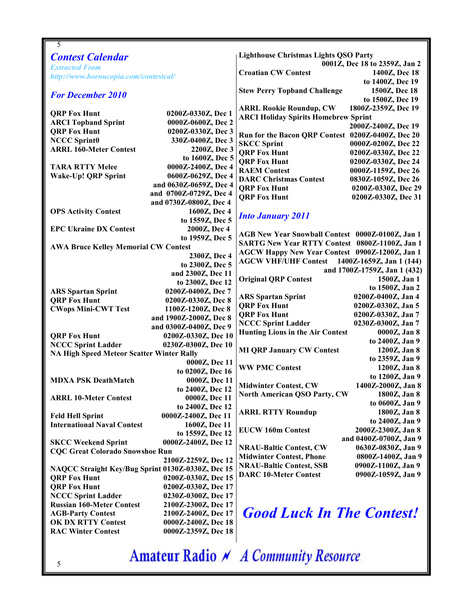| 5                                                 |                        |                                                   |                              |
|---------------------------------------------------|------------------------|---------------------------------------------------|------------------------------|
| <b>Contest Calendar</b>                           |                        | <b>Lighthouse Christmas Lights QSO Party</b>      |                              |
| <b>Extracted From</b>                             |                        | 0001Z, Dec 18 to 2359Z, Jan 2                     |                              |
| http://www.hornucopia.com/contestcal/             |                        | <b>Croatian CW Contest</b>                        | 1400Z, Dec 18                |
|                                                   |                        |                                                   | to 1400Z, Dec 19             |
| <b>For December 2010</b>                          |                        | <b>Stew Perry Topband Challenge</b>               | 1500Z, Dec 18                |
|                                                   |                        |                                                   | to 1500Z, Dec 19             |
|                                                   |                        | <b>ARRL Rookie Roundup, CW</b>                    | 1800Z-2359Z, Dec 19          |
| <b>QRP Fox Hunt</b>                               | 0200Z-0330Z, Dec 1     | <b>ARCI Holiday Spirits Homebrew Sprint</b>       |                              |
| <b>ARCI Topband Sprint</b>                        | 0000Z-0600Z, Dec 2     |                                                   | 2000Z-2400Z, Dec 19          |
| <b>QRP Fox Hunt</b>                               | 0200Z-0330Z, Dec 3     | Run for the Bacon QRP Contest 0200Z-0400Z, Dec 20 |                              |
| <b>NCCC Sprint0</b>                               | 330Z-0400Z, Dec 3      | <b>SKCC Sprint</b>                                | 0000Z-0200Z, Dec 22          |
| <b>ARRL 160-Meter Contest</b>                     | 2200Z, Dec 3           | <b>ORP Fox Hunt</b>                               | 0200Z-0330Z, Dec 22          |
|                                                   | to 1600Z, Dec 5        | <b>QRP Fox Hunt</b>                               | 0200Z-0330Z, Dec 24          |
| <b>TARA RTTY Melee</b>                            | 0000Z-2400Z, Dec 4     | <b>RAEM Contest</b>                               | 0000Z-1159Z, Dec 26          |
| <b>Wake-Up! QRP Sprint</b>                        | 0600Z-0629Z, Dec 4     | <b>DARC Christmas Contest</b>                     | 0830Z-1059Z, Dec 26          |
|                                                   | and 0630Z-0659Z, Dec 4 | <b>ORP Fox Hunt</b>                               | 0200Z-0330Z, Dec 29          |
|                                                   | and 0700Z-0729Z, Dec 4 | <b>QRP Fox Hunt</b>                               | 0200Z-0330Z, Dec 31          |
|                                                   | and 0730Z-0800Z, Dec 4 |                                                   |                              |
| <b>OPS Activity Contest</b>                       | 1600Z, Dec 4           | <b>Into January 2011</b>                          |                              |
|                                                   | to 1559Z, Dec 5        |                                                   |                              |
| <b>EPC Ukraine DX Contest</b>                     | 2000Z, Dec 4           | AGB New Year Snowball Contest 0000Z-0100Z, Jan 1  |                              |
|                                                   | to 1959Z, Dec 5        | SARTG New Year RTTY Contest 0800Z-1100Z, Jan 1    |                              |
| <b>AWA Bruce Kelley Memorial CW Contest</b>       |                        | AGCW Happy New Year Contest 0900Z-1200Z, Jan 1    |                              |
|                                                   | 2300Z, Dec 4           | <b>AGCW VHF/UHF Contest</b>                       | 1400Z-1659Z, Jan 1 (144)     |
|                                                   | to 2300Z, Dec 5        |                                                   | and 1700Z-1759Z, Jan 1 (432) |
|                                                   | and 2300Z, Dec 11      | <b>Original QRP Contest</b>                       | 1500Z, Jan 1                 |
|                                                   | to 2300Z, Dec 12       |                                                   | to 1500Z, Jan 2              |
| <b>ARS Spartan Sprint</b>                         | 0200Z-0400Z, Dec 7     | <b>ARS Spartan Sprint</b>                         | 0200Z-0400Z, Jan 4           |
| <b>QRP Fox Hunt</b>                               | 0200Z-0330Z, Dec 8     | <b>QRP Fox Hunt</b>                               | 0200Z-0330Z, Jan 5           |
| <b>CWops Mini-CWT Test</b>                        | 1100Z-1200Z, Dec 8     | <b>QRP Fox Hunt</b>                               | 0200Z-0330Z, Jan 7           |
|                                                   | and 1900Z-2000Z, Dec 8 | <b>NCCC Sprint Ladder</b>                         | 0230Z-0300Z, Jan 7           |
|                                                   | and 0300Z-0400Z, Dec 9 | <b>Hunting Lions in the Air Contest</b>           | 0000Z, Jan 8                 |
| <b>QRP Fox Hunt</b>                               | 0200Z-0330Z, Dec 10    |                                                   | to 2400Z, Jan 9              |
| <b>NCCC Sprint Ladder</b>                         | 0230Z-0300Z, Dec 10    | <b>MI QRP January CW Contest</b>                  | 1200Z, Jan 8                 |
| <b>NA High Speed Meteor Scatter Winter Rally</b>  |                        |                                                   | to 2359Z, Jan 9              |
|                                                   | 0000Z, Dec 11          | <b>WW PMC Contest</b>                             | 1200Z, Jan 8                 |
|                                                   | to 0200Z, Dec 16       |                                                   | to 1200Z, Jan 9              |
| <b>MDXA PSK DeathMatch</b>                        | 0000Z, Dec 11          | <b>Midwinter Contest, CW</b>                      | 1400Z-2000Z, Jan 8           |
|                                                   | to 2400Z, Dec 12       | <b>North American QSO Party, CW</b>               | 1800Z, Jan 8                 |
| <b>ARRL 10-Meter Contest</b>                      | 0000Z, Dec 11          |                                                   | to 0600Z, Jan 9              |
|                                                   | to 2400Z, Dec 12       | <b>ARRL RTTY Roundup</b>                          | 1800Z, Jan 8                 |
| <b>Feld Hell Sprint</b>                           | 0000Z-2400Z, Dec 11    |                                                   | to 2400Z, Jan 9              |
| <b>International Naval Contest</b>                | 1600Z, Dec 11          | <b>EUCW 160m Contest</b>                          | 2000Z-2300Z, Jan 8           |
|                                                   | to 1559Z, Dec 12       |                                                   | and 0400Z-0700Z, Jan 9       |
| <b>SKCC Weekend Sprint</b>                        | 0000Z-2400Z, Dec 12    | <b>NRAU-Baltic Contest, CW</b>                    | 0630Z-0830Z, Jan 9           |
| <b>CQC Great Colorado Snowshoe Run</b>            |                        | <b>Midwinter Contest, Phone</b>                   | 0800Z-1400Z, Jan 9           |
| 2100Z-2259Z, Dec 12                               |                        | <b>NRAU-Baltic Contest, SSB</b>                   | 0900Z-1100Z, Jan 9           |
| NAQCC Straight Key/Bug Sprint 0130Z-0330Z, Dec 15 |                        | <b>DARC 10-Meter Contest</b>                      | 0900Z-1059Z, Jan 9           |
| <b>QRP Fox Hunt</b>                               | 0200Z-0330Z, Dec 15    |                                                   |                              |
| <b>QRP Fox Hunt</b>                               | 0200Z-0330Z, Dec 17    |                                                   |                              |
| <b>NCCC Sprint Ladder</b>                         | 0230Z-0300Z, Dec 17    |                                                   |                              |
| <b>Russian 160-Meter Contest</b>                  | 2100Z-2300Z, Dec 17    |                                                   |                              |
| <b>AGB-Party Contest</b>                          | 2100Z-2400Z, Dec 17    | <b>Good Luck In The Contest!</b>                  |                              |
| <b>OK DX RTTY Contest</b>                         | 0000Z-2400Z, Dec 18    |                                                   |                              |
| <b>RAC Winter Contest</b>                         | 0000Z-2359Z, Dec 18    |                                                   |                              |
|                                                   |                        |                                                   |                              |

Amateur Radio N A Community Resource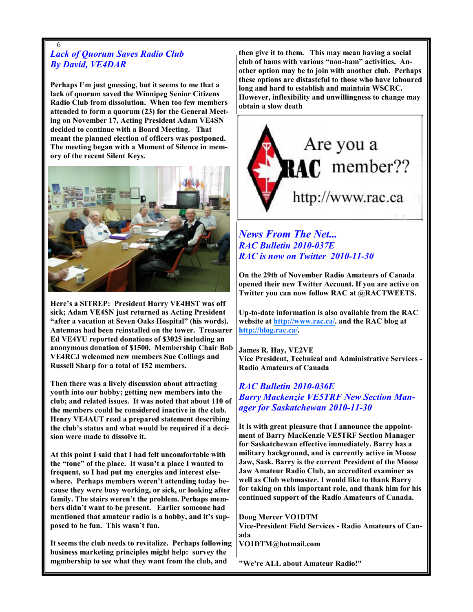## 6 Lack of Quorum Saves Radio Club By David, VE4DAR

Perhaps I'm just guessing, but it seems to me that a lack of quorum saved the Winnipeg Senior Citizens Radio Club from dissolution. When too few members attended to form a quorum (23) for the General Meeting on November 17, Acting President Adam VE4SN decided to continue with a Board Meeting. That meant the planned election of officers was postponed. The meeting began with a Moment of Silence in memory of the recent Silent Keys.



Here's a SITREP: President Harry VE4HST was off sick; Adam VE4SN just returned as Acting President "after a vacation at Seven Oaks Hospital" (his words). Antennas had been reinstalled on the tower. Treasurer Ed VE4YU reported donations of \$3025 including an anonymous donation of \$1500. Membership Chair Bob VE4RCJ welcomed new members Sue Collings and Russell Sharp for a total of 152 members.

Then there was a lively discussion about attracting youth into our hobby; getting new members into the club; and related issues. It was noted that about 110 of the members could be considered inactive in the club. Henry VE4AUT read a prepared statement describing the club's status and what would be required if a decision were made to dissolve it.

At this point I said that I had felt uncomfortable with the "tone" of the place. It wasn't a place I wanted to frequent, so I had put my energies and interest elsewhere. Perhaps members weren't attending today because they were busy working, or sick, or looking after family. The stairs weren't the problem. Perhaps members didn't want to be present. Earlier someone had mentioned that amateur radio is a hobby, and it's supposed to be fun. This wasn't fun.

6 membership to see what they want from the club, and It seems the club needs to revitalize. Perhaps following business marketing principles might help: survey the

then give it to them. This may mean having a social club of hams with various "non-ham" activities. Another option may be to join with another club. Perhaps these options are distasteful to those who have laboured long and hard to establish and maintain WSCRC. However, inflexibility and unwillingness to change may obtain a slow death



## News From The Net... RAC Bulletin 2010-037E RAC is now on Twitter 2010-11-30

On the 29th of November Radio Amateurs of Canada opened their new Twitter Account. If you are active on Twitter you can now follow RAC at @RACTWEETS.

Up-to-date information is also available from the RAC website at http://www.rac.ca/. and the RAC blog at http://blog.rac.ca/.

James R. Hay, VE2VE Vice President, Technical and Administrative Services - Radio Amateurs of Canada

RAC Bulletin 2010-036E Barry Mackenzie VE5TRF New Section Manager for Saskatchewan 2010-11-30

It is with great pleasure that I announce the appointment of Barry MacKenzie VE5TRF Section Manager for Saskatchewan effective immediately. Barry has a military background, and is currently active in Moose Jaw, Sask. Barry is the current President of the Moose Jaw Amateur Radio Club, an accredited examiner as well as Club webmaster. I would like to thank Barry for taking on this important role, and thank him for his continued support of the Radio Amateurs of Canada.

Doug Mercer VO1DTM Vice-President Field Services - Radio Amateurs of Canada

VO1DTM@hotmail.com

"We're ALL about Amateur Radio!"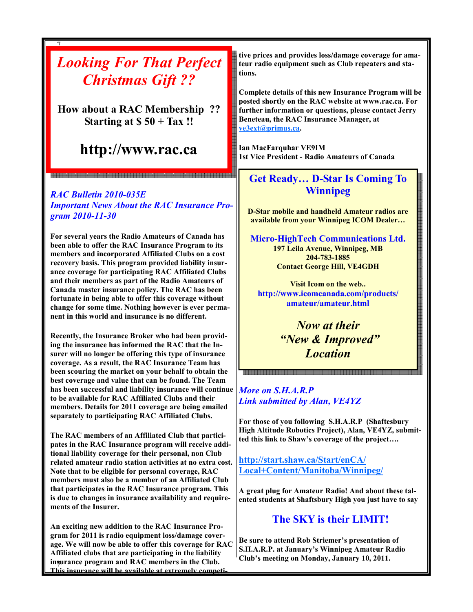# Looking For That Perfect Christmas Gift ??

How about a RAC Membership ?? Starting at  $$50 + Tax$ !!

# http://www.rac.ca

<br>전에 대한 이 대한 것이 없는데 이 대학생들은 이 대학생들은 이 대학생들을 수 있다. 이 대학생들은 이 대학생들은 이 대학생들을 수 있다. 이 대학생들은 이 대학생들은 이 전에 대학생들을 수 있다.<br>이 대학생들은 이 대학생들은 이 대학생들은 대학생들을 수 있다. 이 대학생들은 대학생들은 이 대학생들을 수 있다. 이 대학생들은 이 대학생들은 이 대학생들을 이 없다. 이 대학생들은 이 대학생들은

## RAC Bulletin 2010-035E

7

Important News About the RAC Insurance Program 2010-11-30

For several years the Radio Amateurs of Canada has been able to offer the RAC Insurance Program to its members and incorporated Affiliated Clubs on a cost recovery basis. This program provided liability insurance coverage for participating RAC Affiliated Clubs and their members as part of the Radio Amateurs of Canada master insurance policy. The RAC has been fortunate in being able to offer this coverage without change for some time. Nothing however is ever permanent in this world and insurance is no different.

Recently, the Insurance Broker who had been providing the insurance has informed the RAC that the Insurer will no longer be offering this type of insurance coverage. As a result, the RAC Insurance Team has been scouring the market on your behalf to obtain the best coverage and value that can be found. The Team has been successful and liability insurance will continue to be available for RAC Affiliated Clubs and their members. Details for 2011 coverage are being emailed separately to participating RAC Affiliated Clubs.

The RAC members of an Affiliated Club that participates in the RAC Insurance program will receive additional liability coverage for their personal, non Club related amateur radio station activities at no extra cost. Note that to be eligible for personal coverage, RAC members must also be a member of an Affiliated Club that participates in the RAC Insurance program. This is due to changes in insurance availability and requirements of the Insurer.

7 insurance program and RAC members in the Club. An exciting new addition to the RAC Insurance Program for 2011 is radio equipment loss/damage coverage. We will now be able to offer this coverage for RAC Affiliated clubs that are participating in the liability This insurance will be available at extremely competi-

tive prices and provides loss/damage coverage for amateur radio equipment such as Club repeaters and stations.

Complete details of this new Insurance Program will be posted shortly on the RAC website at www.rac.ca. For further information or questions, please contact Jerry Beneteau, the RAC Insurance Manager, at ve3ext@primus.ca.

Ian MacFarquhar VE9IM 1st Vice President - Radio Amateurs of Canada

## Get Ready… D-Star Is Coming To Winnipeg

D-Star mobile and handheld Amateur radios are available from your Winnipeg ICOM Dealer…

Micro-HighTech Communications Ltd. 197 Leila Avenue, Winnipeg, MB 204-783-1885 Contact George Hill, VE4GDH

Visit Icom on the web.. http://www.icomcanada.com/products/ amateur/amateur.html

> Now at their "New & Improved" **Location**

More on S.H.A.R.P Link submitted by Alan, VE4YZ

For those of you following S.H.A.R.P (Shaftesbury High Altitude Robotics Project), Alan, VE4YZ, submitted this link to Shaw's coverage of the project….

http://start.shaw.ca/Start/enCA/ Local+Content/Manitoba/Winnipeg/

A great plug for Amateur Radio! And about these talented students at Shaftsbury High you just have to say

## The SKY is their LIMIT!

Be sure to attend Rob Striemer's presentation of S.H.A.R.P. at January's Winnipeg Amateur Radio Club's meeting on Monday, January 10, 2011.